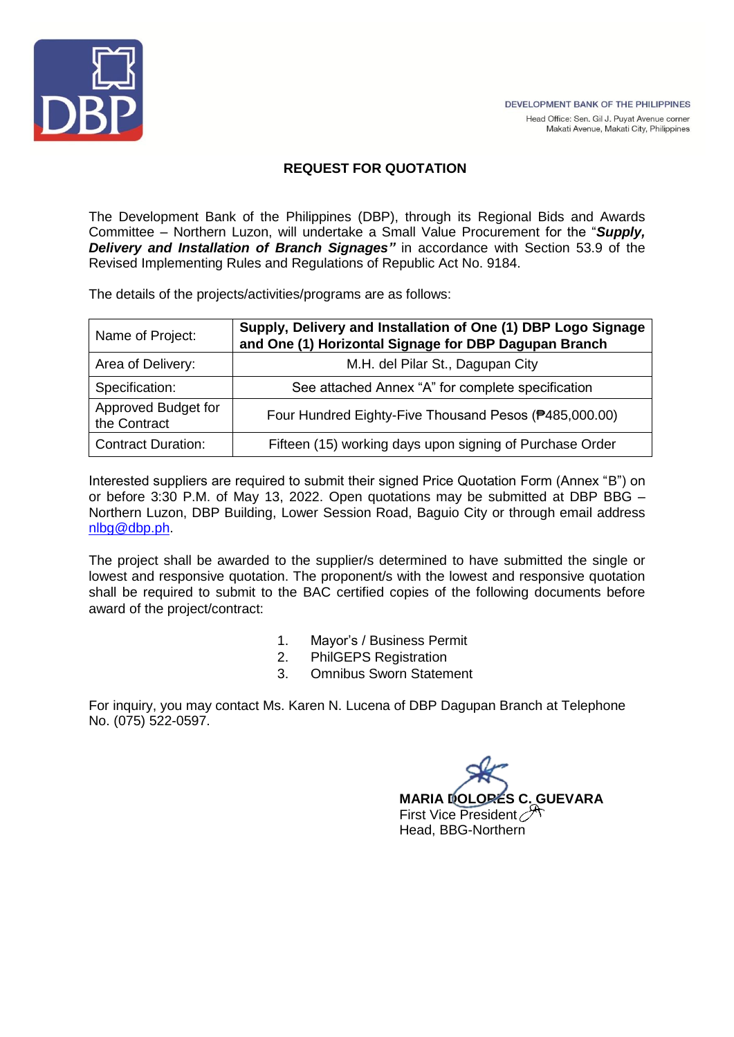

# **REQUEST FOR QUOTATION**

The Development Bank of the Philippines (DBP), through its Regional Bids and Awards Committee – Northern Luzon, will undertake a Small Value Procurement for the "*Supply, Delivery and Installation of Branch Signages"* in accordance with Section 53.9 of the Revised Implementing Rules and Regulations of Republic Act No. 9184.

The details of the projects/activities/programs are as follows:

| Name of Project:                    | Supply, Delivery and Installation of One (1) DBP Logo Signage<br>and One (1) Horizontal Signage for DBP Dagupan Branch |  |  |  |  |
|-------------------------------------|------------------------------------------------------------------------------------------------------------------------|--|--|--|--|
| Area of Delivery:                   | M.H. del Pilar St., Dagupan City                                                                                       |  |  |  |  |
| Specification:                      | See attached Annex "A" for complete specification                                                                      |  |  |  |  |
| Approved Budget for<br>the Contract | Four Hundred Eighty-Five Thousand Pesos (#485,000.00)                                                                  |  |  |  |  |
| <b>Contract Duration:</b>           | Fifteen (15) working days upon signing of Purchase Order                                                               |  |  |  |  |

Interested suppliers are required to submit their signed Price Quotation Form (Annex "B") on or before 3:30 P.M. of May 13, 2022. Open quotations may be submitted at DBP BBG – Northern Luzon, DBP Building, Lower Session Road, Baguio City or through email address [nlbg@dbp.ph.](mailto:nlbg@dbp.ph)

The project shall be awarded to the supplier/s determined to have submitted the single or lowest and responsive quotation. The proponent/s with the lowest and responsive quotation shall be required to submit to the BAC certified copies of the following documents before award of the project/contract:

- 1. Mayor's / Business Permit
- 2. PhilGEPS Registration
- 3. Omnibus Sworn Statement

For inquiry, you may contact Ms. Karen N. Lucena of DBP Dagupan Branch at Telephone No. (075) 522-0597.

**MARIA DOLORES C. GUEVARA** First Vice President Head, BBG-Northern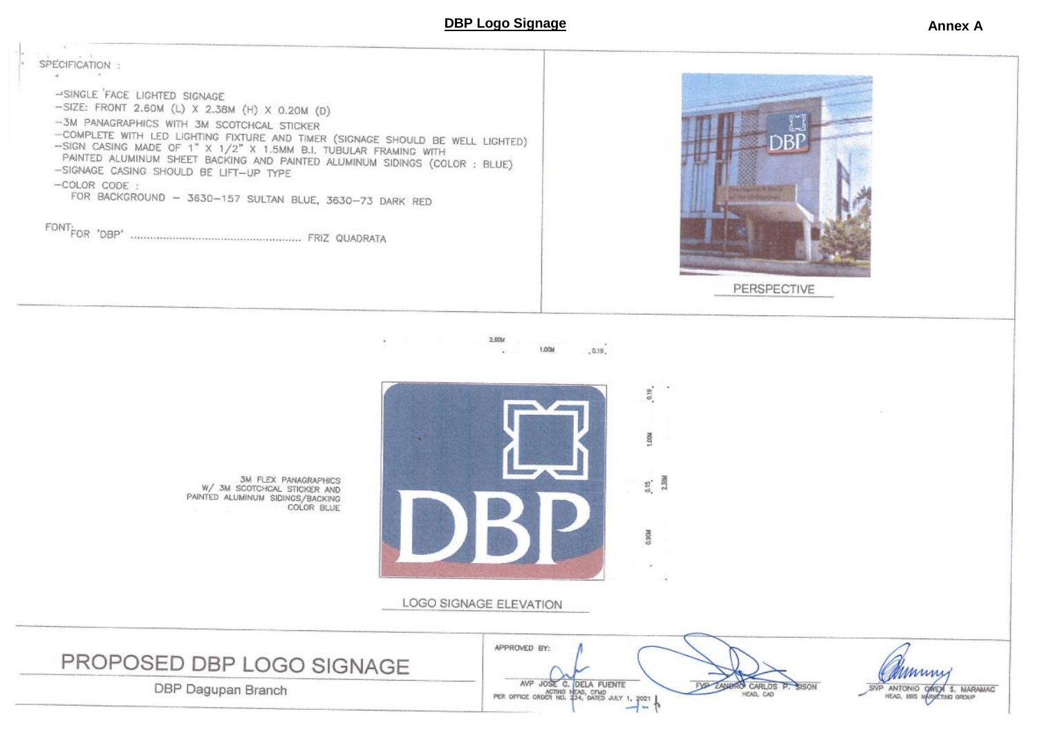### **DBP Logo Signage Annex A**

SPECIFICATION: -SINGLE FACE LIGHTED SIGNAGE -SIZE: FRONT 2.60M (L) X 2.38M (H) X 0.20M (D) -3M PANAGRAPHICS WITH 3M SCOTCHCAL STICKER -COMPLETE WITH LED LIGHTING FIXTURE AND TIMER (SIGNAGE SHOULD BE WELL LIGHTED) -SIGN CASING MADE OF 1" X 1/2" X 1.5MM B.I. TUBULAR FRAMING WITH PAINTED ALUMINUM SHEET BACKING AND PAINTED ALUMINUM SIDINGS (COLOR : BLUE) -SIGNAGE CASING SHOULD BE LIFT-UP TYPE  $-COLOR CODE:$ FOR BACKGROUND - 3630-157 SULTAN BLUE, 3630-73 DARK RED 





APPROVED BY:

AVP JOSE C. DELA FUENTE AVP JOSE G. DELA FUENTE

EVO

3M FLEX PANAGRAPHICS<br>W/3M SCOTCHCAL STICKER AND PAINTED ALUMINUM SIDINGS/BACKING COLOR BLUE

DBP Dagupan Branch

PROPOSED DBP LOGO SIGNAGE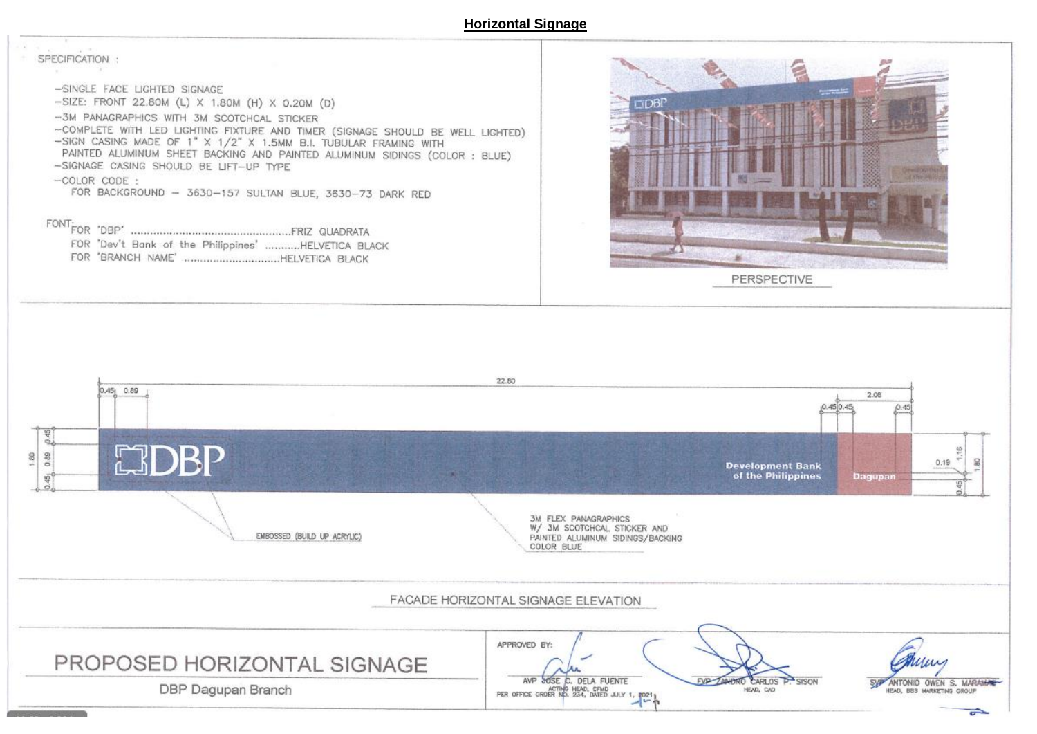#### **Horizontal Signage**

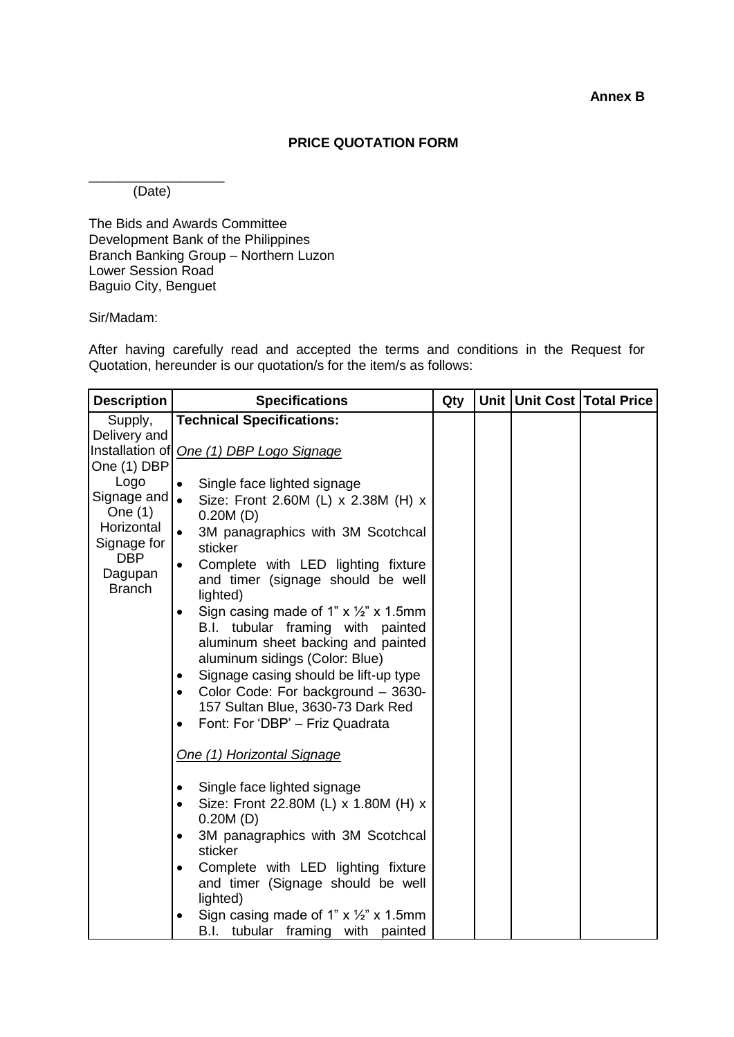**Annex B**

## **PRICE QUOTATION FORM**

\_\_\_\_\_\_\_\_\_\_\_\_\_\_\_\_\_\_ (Date)

The Bids and Awards Committee Development Bank of the Philippines Branch Banking Group – Northern Luzon Lower Session Road Baguio City, Benguet

## Sir/Madam:

After having carefully read and accepted the terms and conditions in the Request for Quotation, hereunder is our quotation/s for the item/s as follows:

| <b>Description</b>      | <b>Specifications</b>                                                       | Qty |  | Unit Unit Cost Total Price |
|-------------------------|-----------------------------------------------------------------------------|-----|--|----------------------------|
| Supply,                 | <b>Technical Specifications:</b>                                            |     |  |                            |
| Delivery and            |                                                                             |     |  |                            |
|                         | Installation of One (1) DBP Logo Signage                                    |     |  |                            |
| One (1) DBP             |                                                                             |     |  |                            |
| Logo                    | Single face lighted signage<br>$\bullet$                                    |     |  |                            |
| Signage and   .         | Size: Front 2.60M (L) x 2.38M (H) x                                         |     |  |                            |
| One $(1)$<br>Horizontal | 0.20M(D)                                                                    |     |  |                            |
| Signage for             | $\bullet$<br>3M panagraphics with 3M Scotchcal<br>sticker                   |     |  |                            |
| <b>DBP</b>              | Complete with LED lighting fixture<br>$\bullet$                             |     |  |                            |
| Dagupan                 | and timer (signage should be well                                           |     |  |                            |
| <b>Branch</b>           | lighted)                                                                    |     |  |                            |
|                         | Sign casing made of 1" $\times$ $\frac{1}{2}$ " $\times$ 1.5mm<br>$\bullet$ |     |  |                            |
|                         | B.I. tubular framing with painted                                           |     |  |                            |
|                         | aluminum sheet backing and painted                                          |     |  |                            |
|                         | aluminum sidings (Color: Blue)                                              |     |  |                            |
|                         | Signage casing should be lift-up type<br>$\bullet$                          |     |  |                            |
|                         | Color Code: For background - 3630-<br>$\bullet$                             |     |  |                            |
|                         | 157 Sultan Blue, 3630-73 Dark Red<br>Font: For 'DBP' - Friz Quadrata        |     |  |                            |
|                         |                                                                             |     |  |                            |
|                         | One (1) Horizontal Signage                                                  |     |  |                            |
|                         | Single face lighted signage<br>$\bullet$                                    |     |  |                            |
|                         | Size: Front 22.80M (L) x 1.80M (H) x<br>$\bullet$                           |     |  |                            |
|                         | 0.20M(D)                                                                    |     |  |                            |
|                         | 3M panagraphics with 3M Scotchcal                                           |     |  |                            |
|                         | sticker                                                                     |     |  |                            |
|                         | Complete with LED lighting fixture<br>$\bullet$                             |     |  |                            |
|                         | and timer (Signage should be well                                           |     |  |                            |
|                         | lighted)                                                                    |     |  |                            |
|                         | Sign casing made of 1" $\times$ $\frac{1}{2}$ " $\times$ 1.5mm              |     |  |                            |
|                         | B.I. tubular framing<br>with<br>painted                                     |     |  |                            |